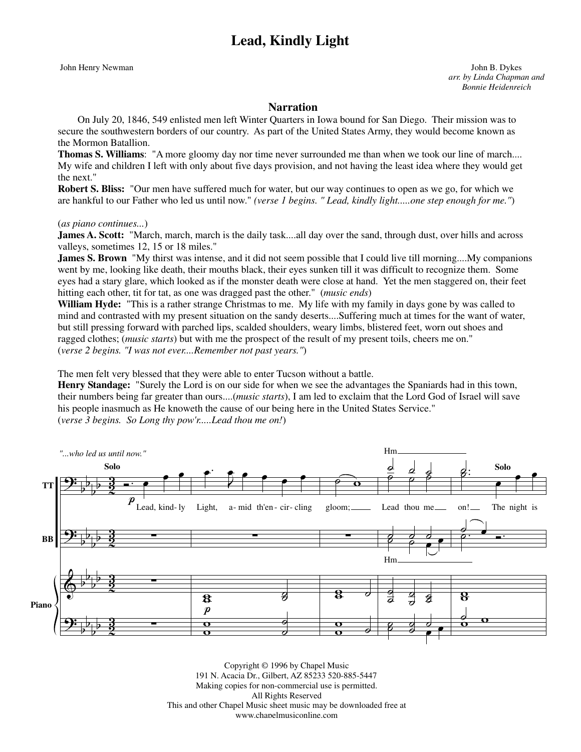## **Lead, Kindly Light**

John Henry Newman John B. Dykes *arr. by Linda Chapman and Bonnie Heidenreich*

## **Narration**

 On July 20, 1846, 549 enlisted men left Winter Quarters in Iowa bound for San Diego. Their mission was to secure the southwestern borders of our country. As part of the United States Army, they would become known as the Mormon Batallion.

**Thomas S. Williams**: "A more gloomy day nor time never surrounded me than when we took our line of march.... My wife and children I left with only about five days provision, and not having the least idea where they would get the next."

**Robert S. Bliss:** "Our men have suffered much for water, but our way continues to open as we go, for which we are hankful to our Father who led us until now." *(verse 1 begins. " Lead, kindly light.....one step enough for me."*)

(*as piano continues...*)

**James A. Scott:** "March, march, march is the daily task....all day over the sand, through dust, over hills and across valleys, sometimes 12, 15 or 18 miles."

**James S. Brown** "My thirst was intense, and it did not seem possible that I could live till morning....My companions went by me, looking like death, their mouths black, their eyes sunken till it was difficult to recognize them. Some eyes had a stary glare, which looked as if the monster death were close at hand. Yet the men staggered on, their feet hitting each other, tit for tat, as one was dragged past the other." (*music ends*)

**William Hyde:** "This is a rather strange Christmas to me. My life with my family in days gone by was called to mind and contrasted with my present situation on the sandy deserts....Suffering much at times for the want of water, but still pressing forward with parched lips, scalded shoulders, weary limbs, blistered feet, worn out shoes and ragged clothes; (*music starts*) but with me the prospect of the result of my present toils, cheers me on." (*verse 2 begins. "I was not ever....Remember not past years."*)

The men felt very blessed that they were able to enter Tucson without a battle.

**Henry Standage:** "Surely the Lord is on our side for when we see the advantages the Spaniards had in this town, their numbers being far greater than ours....(*music starts*), I am led to exclaim that the Lord God of Israel will save his people inasmuch as He knoweth the cause of our being here in the United States Service." (*verse 3 begins. So Long thy pow'r.....Lead thou me on!*)



Copyright © 1996 by Chapel Music 191 N. Acacia Dr., Gilbert, AZ 85233 520-885-5447 Making copies for non-commercial use is permitted. All Rights Reserved This and other Chapel Music sheet music may be downloaded free at www.chapelmusiconline.com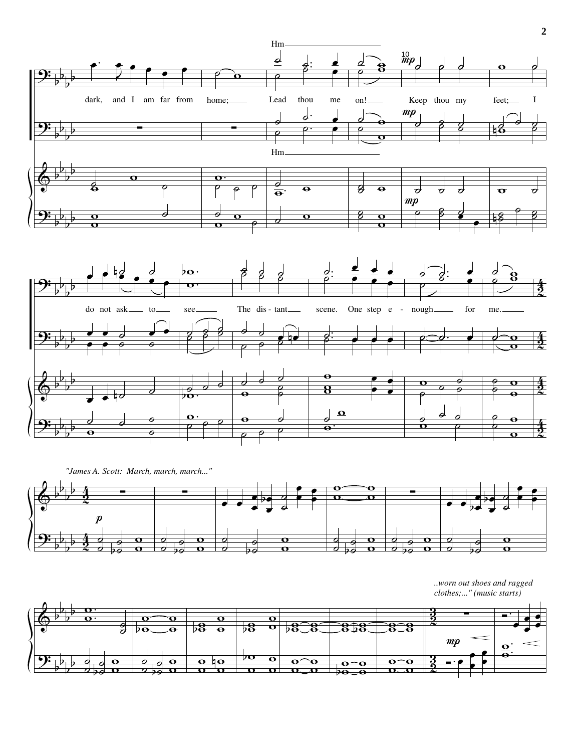

*"James A. Scott: March, march, march..."*



*..worn out shoes and ragged clothes;..." (music starts)*

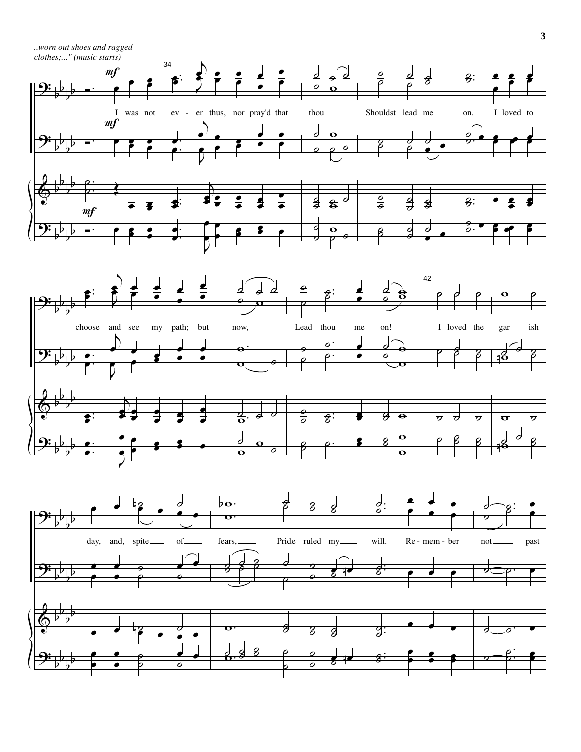*..worn out shoes and ragged* 

*clothes;..." (music starts)*





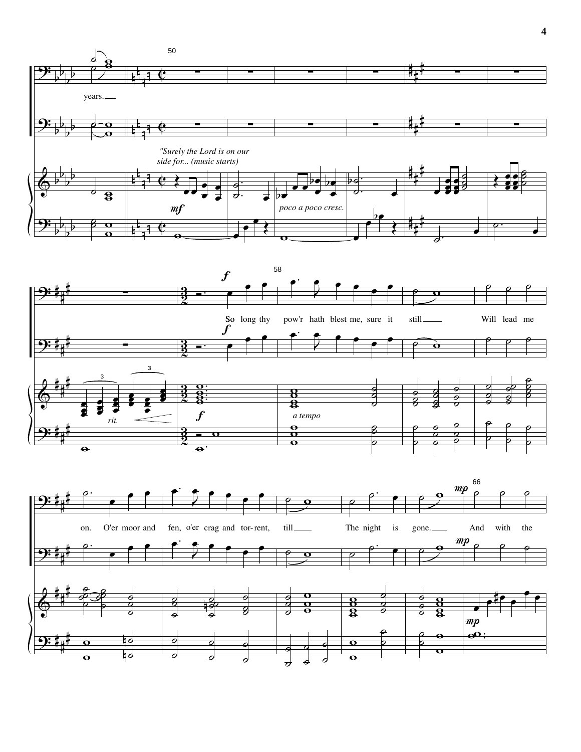